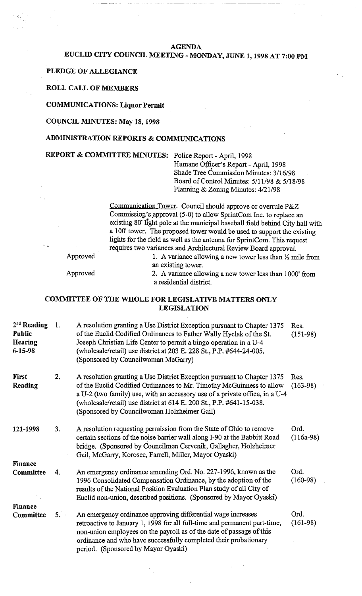#### AGENDA

# EUCLID CITY COUNCIL MEETING - MONDAY, JUNE 1,1998 AT 7:00 PM

#### PLEDGE OF ALLEGIANCE

### ROLL CALL OF MEMBERS

COMMUNICATIONS: Liquor Permit

#### COUNCIL MINUTES: May 18,1998

## ADMINISTRATION REPORTS & COMMUNICATIONS

REPORT & COMMITTEE MINUTES: Police Report - April, 1998

Humane Officer's Report - April, 1998 Shade Tree Commission Minutes: 3/16/98 Board of Control Minutes: 5/11/98 & 5/18/98 Planning & Zoning Minutes: 4/21/98

Communication Tower. Council should approve or overrule P&Z Commission's approval (5-0) to allow SprintCom Inc. to replace an existing 80' light pole at the municipal baseball field behind City hall with a 100' tower. The proposed tower would be used to support the existing lights for the field as well as the antenna for SprintCom. This request requires two variances and Architectural Review Board approval.

Approved 1. A variance allowing a new tower less than  $\frac{1}{2}$  mile from

an existing tower. Approved 2. A variance allowing a new tower less than 1000' from a residential district.

## COMMITTEE OF THE WHOLE FOR LEGISLATIVE MATTERS ONLY LEGISLATION

| $2nd$ Reading<br><b>Public</b><br><b>Hearing</b><br>$6 - 15 - 98$ | 1. | A resolution granting a Use District Exception pursuant to Chapter 1375<br>of the Euclid Codified Ordinances to Father Wally Hyclak of the St.<br>Joseph Christian Life Center to permit a bingo operation in a U-4<br>(wholesale/retail) use district at 203 E. 228 St., P.P. #644-24-005.<br>(Sponsored by Councilwoman McGarry)                    | Res.<br>$(151-98)$  |
|-------------------------------------------------------------------|----|-------------------------------------------------------------------------------------------------------------------------------------------------------------------------------------------------------------------------------------------------------------------------------------------------------------------------------------------------------|---------------------|
| <b>First</b><br>Reading                                           | 2. | A resolution granting a Use District Exception pursuant to Chapter 1375<br>of the Euclid Codified Ordinances to Mr. Timothy McGuinness to allow<br>a U-2 (two family) use, with an accessory use of a private office, in a U-4<br>(wholesale/retail) use district at 614 E. 200 St., P.P. #641-15-038.<br>(Sponsored by Councilwoman Holzheimer Gail) | Res.<br>$(163-98)$  |
| 121-1998                                                          | 3. | A resolution requesting permission from the State of Ohio to remove<br>certain sections of the noise barrier wall along I-90 at the Babbitt Road<br>bridge. (Sponsored by Councilmen Cervenik, Gallagher, Holzheimer<br>Gail, McGarry, Korosec, Farrell, Miller, Mayor Oyaski)                                                                        | Ord.<br>$(116a-98)$ |
| <b>Finance</b>                                                    |    |                                                                                                                                                                                                                                                                                                                                                       |                     |
| Committee                                                         | 4. | An emergency ordinance amending Ord. No. 227-1996, known as the<br>1996 Consolidated Compensation Ordinance, by the adoption of the<br>results of the National Position Evaluation Plan study of all City of<br>Euclid non-union, described positions. (Sponsored by Mayor Oyaski)                                                                    | Ord.<br>$(160-98)$  |
| <b>Finance</b>                                                    |    |                                                                                                                                                                                                                                                                                                                                                       |                     |
| Committee                                                         | 5. | An emergency ordinance approving differential wage increases<br>retroactive to January 1, 1998 for all full-time and permanent part-time,<br>non-union employees on the payroll as of the date of passage of this<br>ordinance and who have successfully completed their probationary<br>period. (Sponsored by Mayor Oyaski)                          | Ord.<br>$(161-98)$  |